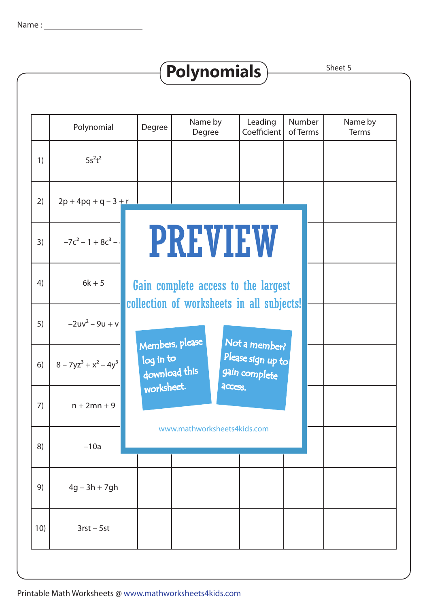|     |                        |                                                                                  | <b>Polynomials</b>          |                                    |                    | Sheet 5          |  |  |  |
|-----|------------------------|----------------------------------------------------------------------------------|-----------------------------|------------------------------------|--------------------|------------------|--|--|--|
|     |                        |                                                                                  |                             |                                    |                    |                  |  |  |  |
|     | Polynomial             | Degree                                                                           | Name by<br>Degree           | Leading<br>Coefficient             | Number<br>of Terms | Name by<br>Terms |  |  |  |
| 1)  | $5s^2t^2$              |                                                                                  |                             |                                    |                    |                  |  |  |  |
| 2)  | $2p + 4pq + q - 3 + r$ |                                                                                  |                             |                                    |                    |                  |  |  |  |
| 3)  | $-7c^2 - 1 + 8c^3 -$   |                                                                                  | <b>PREVIEW</b>              |                                    |                    |                  |  |  |  |
| 4)  | $6k + 5$               | Gain complete access to the largest<br>collection of worksheets in all subjects! |                             |                                    |                    |                  |  |  |  |
| 5)  | $-2uv^2 - 9u + v$      | Members, please<br>Not a member?                                                 |                             |                                    |                    |                  |  |  |  |
| 6)  | $8 - 7yz3 + x2 - 4y3$  | log in to<br>download this                                                       |                             | Please sign up to<br>gain complete |                    |                  |  |  |  |
| 7)  | $n + 2mn + 9$          | worksheet.<br>access.                                                            |                             |                                    |                    |                  |  |  |  |
| 8)  | $-10a$                 |                                                                                  | www.mathworksheets4kids.com |                                    |                    |                  |  |  |  |
| 9)  | $4g - 3h + 7gh$        |                                                                                  |                             |                                    |                    |                  |  |  |  |
| 10) | $3rst - 5st$           |                                                                                  |                             |                                    |                    |                  |  |  |  |
|     |                        |                                                                                  |                             |                                    |                    |                  |  |  |  |